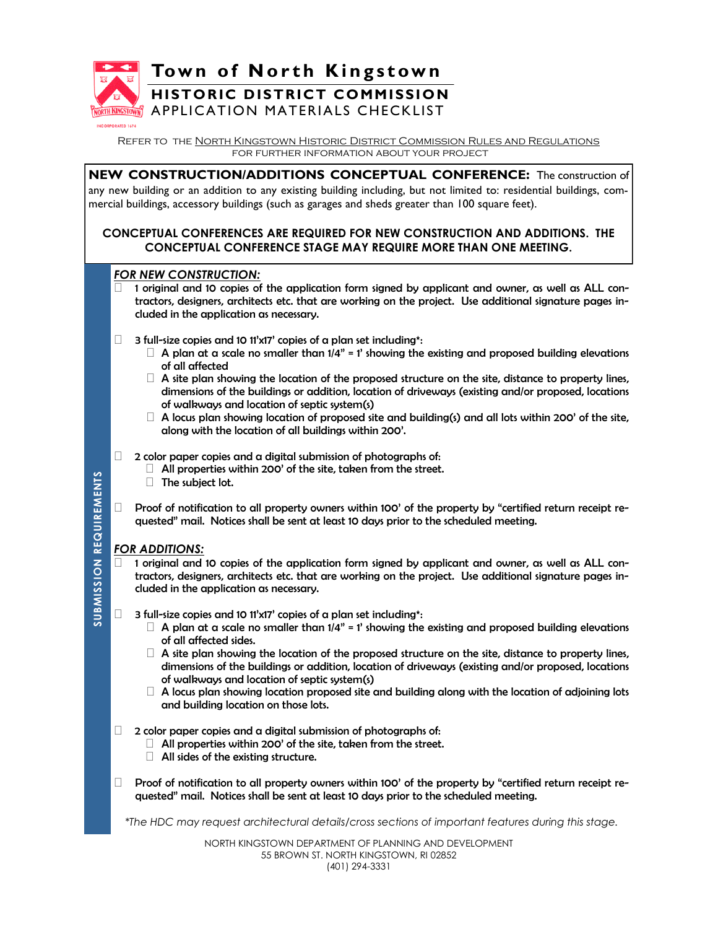

**DRATED 1674** 

**Town of North Kingstown** 

# **HISTORIC DISTRICT COMMISSION**

APPLICATION MATERIALS CHECKLIST

Refer to the North Kingstown Historic District Commission Rules and Regulations for further information about your project

**NEW CONSTRUCTION/ADDITIONS CONCEPTUAL CONFERENCE:** The construction of any new building or an addition to any existing building including, but not limited to: residential buildings, commercial buildings, accessory buildings (such as garages and sheds greater than 100 square feet).

### **CONCEPTUAL CONFERENCES ARE REQUIRED FOR NEW CONSTRUCTION AND ADDITIONS. THE CONCEPTUAL CONFERENCE STAGE MAY REQUIRE MORE THAN ONE MEETING.**

### *FOR NEW CONSTRUCTION:*

- 1 original and 10 copies of the application form signed by applicant and owner, as well as ALL contractors, designers, architects etc. that are working on the project. Use additional signature pages included in the application as necessary.
- $\Box$  3 full-size copies and 10 11'x17' copies of a plan set including\*:
	- $\Box$  A plan at a scale no smaller than 1/4" = 1' showing the existing and proposed building elevations of all affected
	- $\Box$  A site plan showing the location of the proposed structure on the site, distance to property lines, dimensions of the buildings or addition, location of driveways (existing and/or proposed, locations of walkways and location of septic system(s)
	- $\Box$  A locus plan showing location of proposed site and building(s) and all lots within 200' of the site, along with the location of all buildings within 200'.

 $\Box$  2 color paper copies and a digital submission of photographs of:

- $\Box$  All properties within 200' of the site, taken from the street.
- The subject lot.
- $\Box$  Proof of notification to all property owners within 100' of the property by "certified return receipt requested" mail. Notices shall be sent at least 10 days prior to the scheduled meeting.

### *FOR ADDITIONS:*

**SUBMISSION REQUIREMENTS**

**SUBMISSION REQUIREMENTS** 

- 1 original and 10 copies of the application form signed by applicant and owner, as well as ALL contractors, designers, architects etc. that are working on the project. Use additional signature pages included in the application as necessary.
- $\Box$  3 full-size copies and 10 11'x17' copies of a plan set including\*:
	- $\Box$  A plan at a scale no smaller than  $1/4$ " = 1' showing the existing and proposed building elevations of all affected sides.
	- $\Box$  A site plan showing the location of the proposed structure on the site, distance to property lines, dimensions of the buildings or addition, location of driveways (existing and/or proposed, locations of walkways and location of septic system(s)
	- $\Box$  A locus plan showing location proposed site and building along with the location of adjoining lots and building location on those lots.
- $\Box$  2 color paper copies and a digital submission of photographs of:
	- $\Box$  All properties within 200' of the site, taken from the street.
	- $\Box$  All sides of the existing structure.
- $\Box$  Proof of notification to all property owners within 100' of the property by "certified return receipt requested" mail. Notices shall be sent at least 10 days prior to the scheduled meeting.

*\*The HDC may request architectural details/cross sections of important features during this stage.*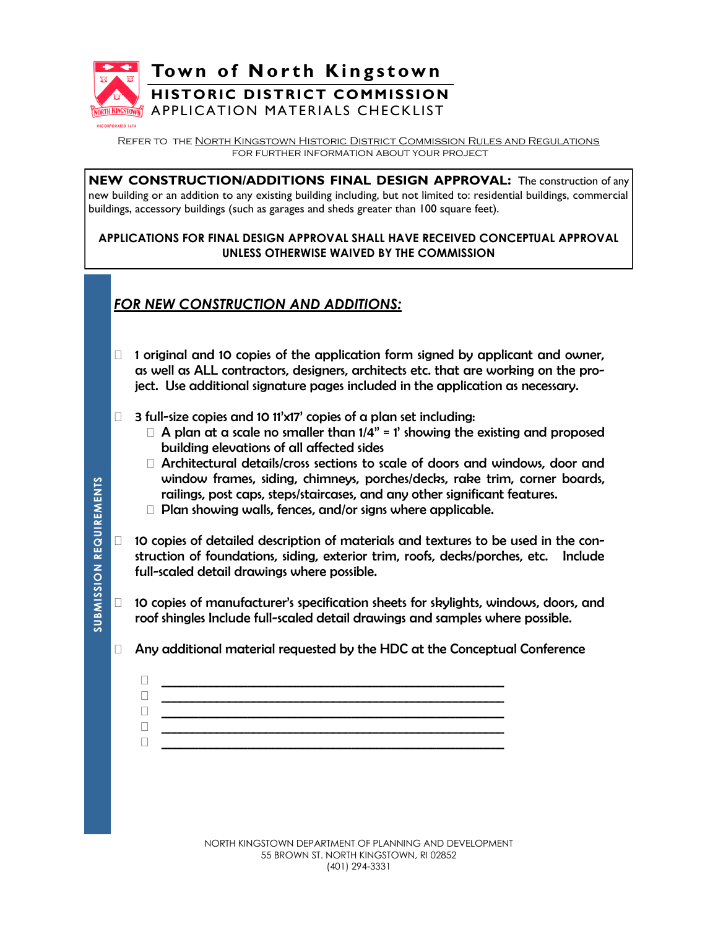

**Town of North Kingstown** 

# **HISTORIC DISTRICT COMMISSION**

APPLICATION MATERIALS CHECKLIST

Refer to the North Kingstown Historic District Commission Rules and Regulations for further information about your project

**NEW CONSTRUCTION/ADDITIONS FINAL DESIGN APPROVAL:** The construction of any new building or an addition to any existing building including, but not limited to: residential buildings, commercial buildings, accessory buildings (such as garages and sheds greater than 100 square feet).

### **APPLICATIONS FOR FINAL DESIGN APPROVAL SHALL HAVE RECEIVED CONCEPTUAL APPROVAL UNLESS OTHERWISE WAIVED BY THE COMMISSION**

# *FOR NEW CONSTRUCTION AND ADDITIONS:*

- $\Box$  1 original and 10 copies of the application form signed by applicant and owner, as well as ALL contractors, designers, architects etc. that are working on the project. Use additional signature pages included in the application as necessary.
- $\Box$  3 full-size copies and 10 11'x17' copies of a plan set including:
	- $\Box$  A plan at a scale no smaller than  $1/4$ " = 1' showing the existing and proposed building elevations of all affected sides
	- Architectural details/cross sections to scale of doors and windows, door and window frames, siding, chimneys, porches/decks, rake trim, corner boards, railings, post caps, steps/staircases, and any other significant features.
	- $\Box$  Plan showing walls, fences, and/or signs where applicable.

 \_\_\_\_\_\_\_\_\_\_\_\_\_\_\_\_\_\_\_\_\_\_\_\_\_\_\_\_\_\_\_\_\_\_\_\_\_\_\_\_\_\_\_\_\_\_\_\_\_\_\_\_\_\_\_\_ \_\_\_\_\_\_\_\_\_\_\_\_\_\_\_\_\_\_\_\_\_\_\_\_\_\_\_\_\_\_\_\_\_\_\_\_\_\_\_\_\_\_\_\_\_\_\_\_\_\_\_\_\_\_\_\_ \_\_\_\_\_\_\_\_\_\_\_\_\_\_\_\_\_\_\_\_\_\_\_\_\_\_\_\_\_\_\_\_\_\_\_\_\_\_\_\_\_\_\_\_\_\_\_\_\_\_\_\_\_\_\_\_ \_\_\_\_\_\_\_\_\_\_\_\_\_\_\_\_\_\_\_\_\_\_\_\_\_\_\_\_\_\_\_\_\_\_\_\_\_\_\_\_\_\_\_\_\_\_\_\_\_\_\_\_\_\_\_\_ \_\_\_\_\_\_\_\_\_\_\_\_\_\_\_\_\_\_\_\_\_\_\_\_\_\_\_\_\_\_\_\_\_\_\_\_\_\_\_\_\_\_\_\_\_\_\_\_\_\_\_\_\_\_\_\_

- $\Box$  10 copies of detailed description of materials and textures to be used in the construction of foundations, siding, exterior trim, roofs, decks/porches, etc. Include full-scaled detail drawings where possible.
- $\Box$  10 copies of manufacturer's specification sheets for skylights, windows, doors, and roof shingles Include full-scaled detail drawings and samples where possible.
- $\Box$  Any additional material requested by the HDC at the Conceptual Conference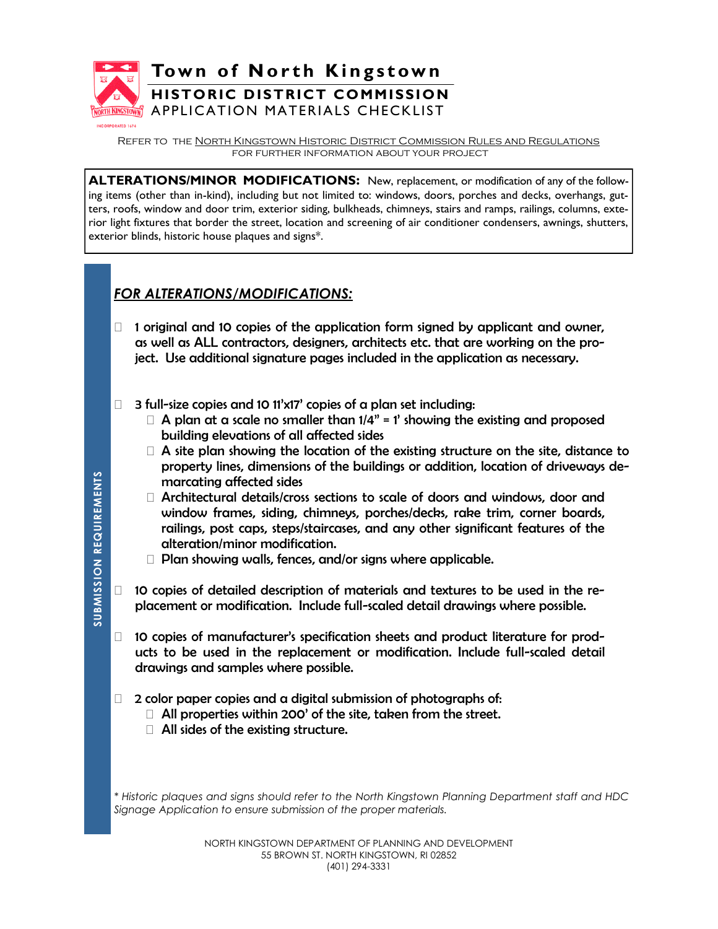

Refer to the North Kingstown Historic District Commission Rules and Regulations for further information about your project

**ALTERATIONS/MINOR MODIFICATIONS:** New, replacement, or modification of any of the following items (other than in-kind), including but not limited to: windows, doors, porches and decks, overhangs, gutters, roofs, window and door trim, exterior siding, bulkheads, chimneys, stairs and ramps, railings, columns, exterior light fixtures that border the street, location and screening of air conditioner condensers, awnings, shutters, exterior blinds, historic house plaques and signs\*.

## *FOR ALTERATIONS/MODIFICATIONS:*

- $\Box$  1 original and 10 copies of the application form signed by applicant and owner, as well as ALL contractors, designers, architects etc. that are working on the project. Use additional signature pages included in the application as necessary.
- $\Box$  3 full-size copies and 10 11'x17' copies of a plan set including:
	- $\Box$  A plan at a scale no smaller than  $1/4$ " = 1' showing the existing and proposed building elevations of all affected sides
	- $\Box$  A site plan showing the location of the existing structure on the site, distance to property lines, dimensions of the buildings or addition, location of driveways demarcating affected sides
	- Architectural details/cross sections to scale of doors and windows, door and window frames, siding, chimneys, porches/decks, rake trim, corner boards, railings, post caps, steps/staircases, and any other significant features of the alteration/minor modification.
	- $\Box$  Plan showing walls, fences, and/or signs where applicable.
- $\Box$  10 copies of detailed description of materials and textures to be used in the replacement or modification. Include full-scaled detail drawings where possible.
- □ 10 copies of manufacturer's specification sheets and product literature for products to be used in the replacement or modification. Include full-scaled detail drawings and samples where possible.
- $\Box$  2 color paper copies and a digital submission of photographs of:
	- $\Box$  All properties within 200' of the site, taken from the street.
	- □ All sides of the existing structure.

*\* Historic plaques and signs should refer to the North Kingstown Planning Department staff and HDC Signage Application to ensure submission of the proper materials.*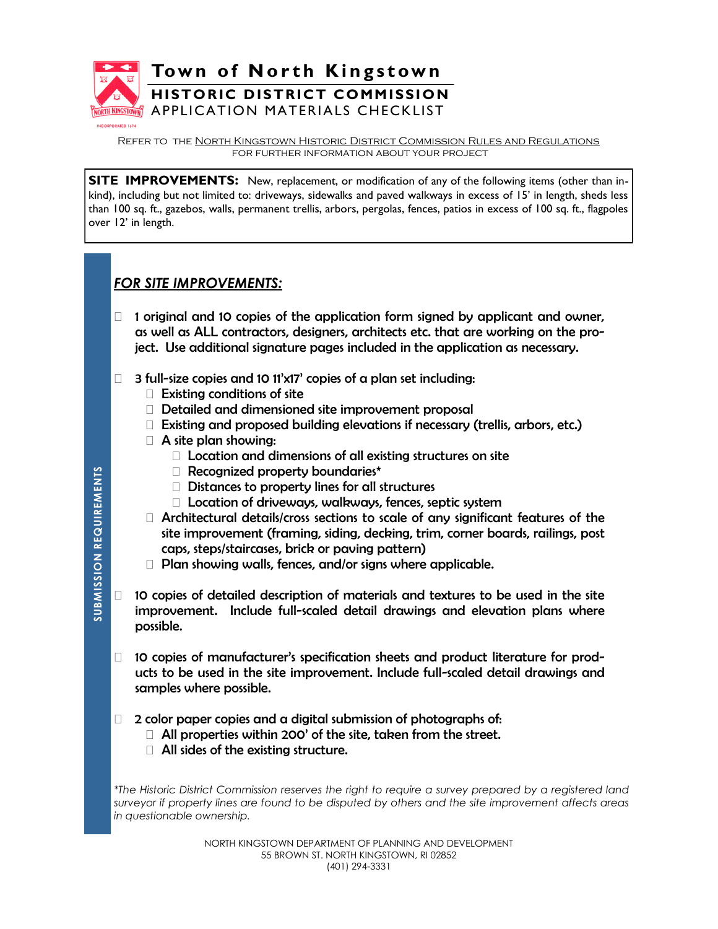

Refer to the North Kingstown Historic District Commission Rules and Regulations for further information about your project

**SITE IMPROVEMENTS:** New, replacement, or modification of any of the following items (other than inkind), including but not limited to: driveways, sidewalks and paved walkways in excess of 15' in length, sheds less than 100 sq. ft., gazebos, walls, permanent trellis, arbors, pergolas, fences, patios in excess of 100 sq. ft., flagpoles over 12' in length.

## *FOR SITE IMPROVEMENTS:*

- $\Box$  1 original and 10 copies of the application form signed by applicant and owner, as well as ALL contractors, designers, architects etc. that are working on the project. Use additional signature pages included in the application as necessary.
- $\Box$  3 full-size copies and 10 11'x17' copies of a plan set including:
	- $\Box$  Existing conditions of site
	- Detailed and dimensioned site improvement proposal
	- Existing and proposed building elevations if necessary (trellis, arbors, etc.)
	- A site plan showing:
		- □ Location and dimensions of all existing structures on site
		- Recognized property boundaries\*
		- $\Box$  Distances to property lines for all structures
		- □ Location of driveways, walkways, fences, septic system
	- $\Box$  Architectural details/cross sections to scale of any significant features of the site improvement (framing, siding, decking, trim, corner boards, railings, post caps, steps/staircases, brick or paving pattern)
	- □ Plan showing walls, fences, and/or signs where applicable.
- $\Box$  10 copies of detailed description of materials and textures to be used in the site improvement. Include full-scaled detail drawings and elevation plans where possible.
- 10 copies of manufacturer's specification sheets and product literature for products to be used in the site improvement. Include full-scaled detail drawings and samples where possible.
- $\Box$  2 color paper copies and a digital submission of photographs of:
	- $\Box$  All properties within 200' of the site, taken from the street.
	- $\Box$  All sides of the existing structure.

*\*The Historic District Commission reserves the right to require a survey prepared by a registered land surveyor if property lines are found to be disputed by others and the site improvement affects areas in questionable ownership.*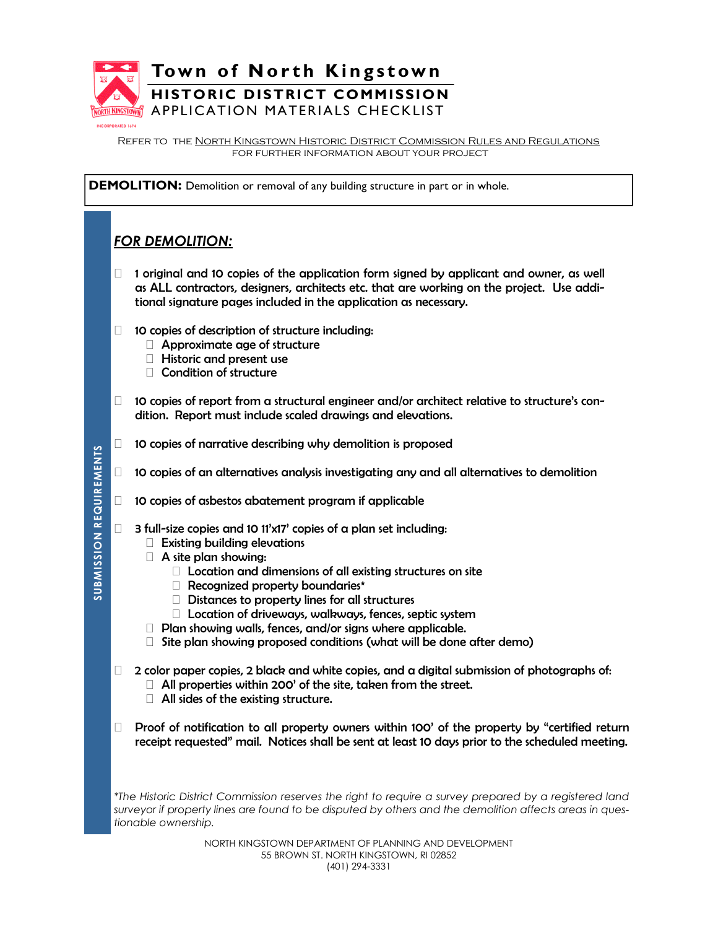

Refer to the North Kingstown Historic District Commission Rules and Regulations for further information about your project

**DEMOLITION:** Demolition or removal of any building structure in part or in whole.

## *FOR DEMOLITION:*

- $\Box$  1 original and 10 copies of the application form signed by applicant and owner, as well as ALL contractors, designers, architects etc. that are working on the project. Use additional signature pages included in the application as necessary.
- $\Box$  10 copies of description of structure including:
	- □ Approximate age of structure
	- Historic and present use
	- □ Condition of structure
- $\Box$  10 copies of report from a structural engineer and/or architect relative to structure's condition. Report must include scaled drawings and elevations.
- $\Box$  10 copies of narrative describing why demolition is proposed
- $\Box$  10 copies of an alternatives analysis investigating any and all alternatives to demolition
- $\Box$  10 copies of asbestos abatement program if applicable
- $\Box$  3 full-size copies and 10 11'x17' copies of a plan set including:
	- $\Box$  Existing building elevations
	- A site plan showing:
		- $\Box$  Location and dimensions of all existing structures on site
		- Recognized property boundaries\*
		- $\Box$  Distances to property lines for all structures
		- $\Box$  Location of driveways, walkways, fences, septic system
	- $\Box$  Plan showing walls, fences, and/or signs where applicable.
	- $\Box$  Site plan showing proposed conditions (what will be done after demo)
- $\Box$  2 color paper copies, 2 black and white copies, and a digital submission of photographs of:
	- $\Box$  All properties within 200' of the site, taken from the street.
	- $\Box$  All sides of the existing structure.
- $\Box$  Proof of notification to all property owners within 100' of the property by "certified return receipt requested" mail. Notices shall be sent at least 10 days prior to the scheduled meeting.

*\*The Historic District Commission reserves the right to require a survey prepared by a registered land surveyor if property lines are found to be disputed by others and the demolition affects areas in questionable ownership.*